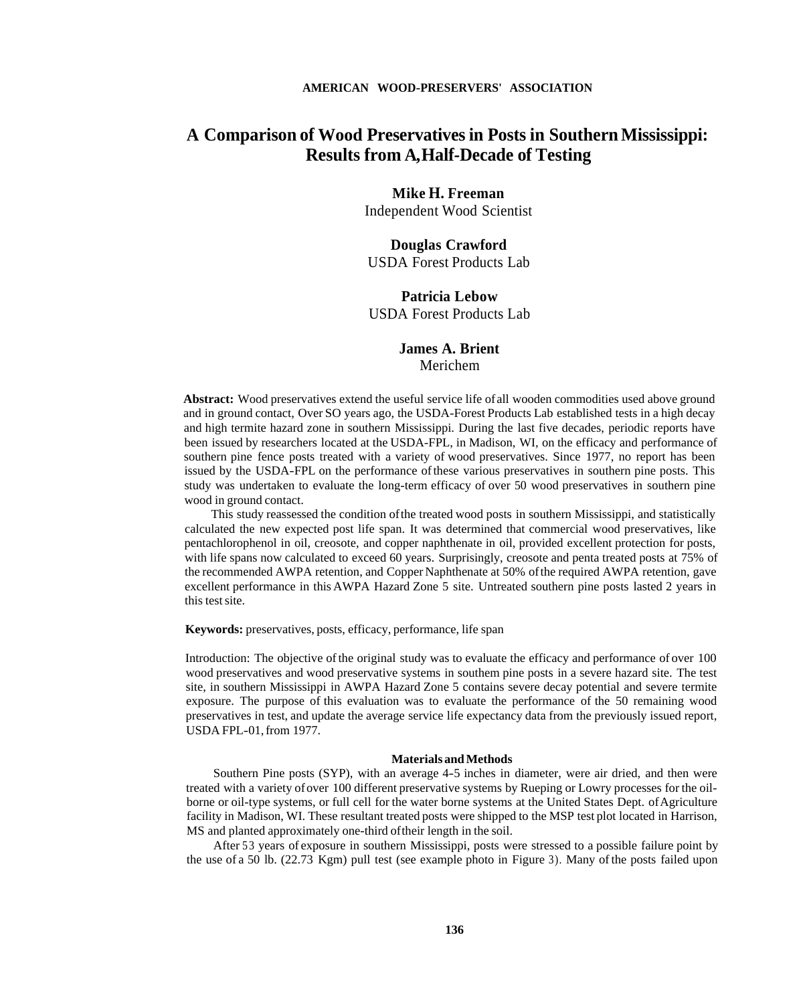## **A Comparison of Wood Preservatives in Posts in Southern Mississippi: Results from A,Half-Decade of Testing**

## **Mike H. Freeman**

Independent Wood Scientist

## **Douglas Crawford**  USDA Forest Products Lab

#### **Patricia Lebow**  USDA Forest Products Lab

### **James A. Brient**  Merichem

**Abstract:** Wood preservatives extend the useful service life of all wooden commodities used above ground and in ground contact, Over SO years ago, the USDA-Forest Products Lab established tests in a high decay and high termite hazard zone in southern Mississippi. During the last five decades, periodic reports have been issued by researchers located at the USDA-FPL, in Madison, WI, on the efficacy and performance of southern pine fence posts treated with a variety of wood preservatives. Since 1977, no report has been issued by the USDA-FPL on the performance of these various preservatives in southern pine posts. This study was undertaken to evaluate the long-term efficacy of over 50 wood preservatives in southern pine wood in ground contact.

This study reassessed the condition of the treated wood posts in southern Mississippi, and statistically calculated the new expected post life span. It was determined that commercial wood preservatives, like pentachlorophenol in oil, creosote, and copper naphthenate in oil, provided excellent protection for posts, with life spans now calculated to exceed 60 years. Surprisingly, creosote and penta treated posts at 75% of the recommended AWPA retention, and Copper Naphthenate at 50% of the required AWPA retention, gave excellent performance in this AWPA Hazard Zone 5 site. Untreated southern pine posts lasted 2 years in this test site.

**Keywords:** preservatives, posts, efficacy, performance, life span

Introduction: The objective of the original study was to evaluate the efficacy and performance of over 100 wood preservatives and wood preservative systems in southem pine posts in a severe hazard site. The test site, in southern Mississippi in AWPA Hazard Zone 5 contains severe decay potential and severe termite exposure. The purpose of this evaluation was to evaluate the performance of the 50 remaining wood preservatives in test, and update the average service life expectancy data from the previously issued report, USDA FPL-01, from 1977.

#### **Materials and Methods**

Southern Pine posts (SYP), with an average 4-5 inches in diameter, were air dried, and then were treated with a variety of over 100 different preservative systems by Rueping or Lowry processes for the oilborne or oil-type systems, or full cell for the water borne systems at the United States Dept. of Agriculture facility in Madison, WI. These resultant treated posts were shipped to the MSP test plot located in Harrison, MS and planted approximately one-third oftheir length in the soil.

After 53 years of exposure in southern Mississippi, posts were stressed to a possible failure point by the use of a 50 lb. (22.73 Kgm) pull test (see example photo in Figure 3). Many of the posts failed upon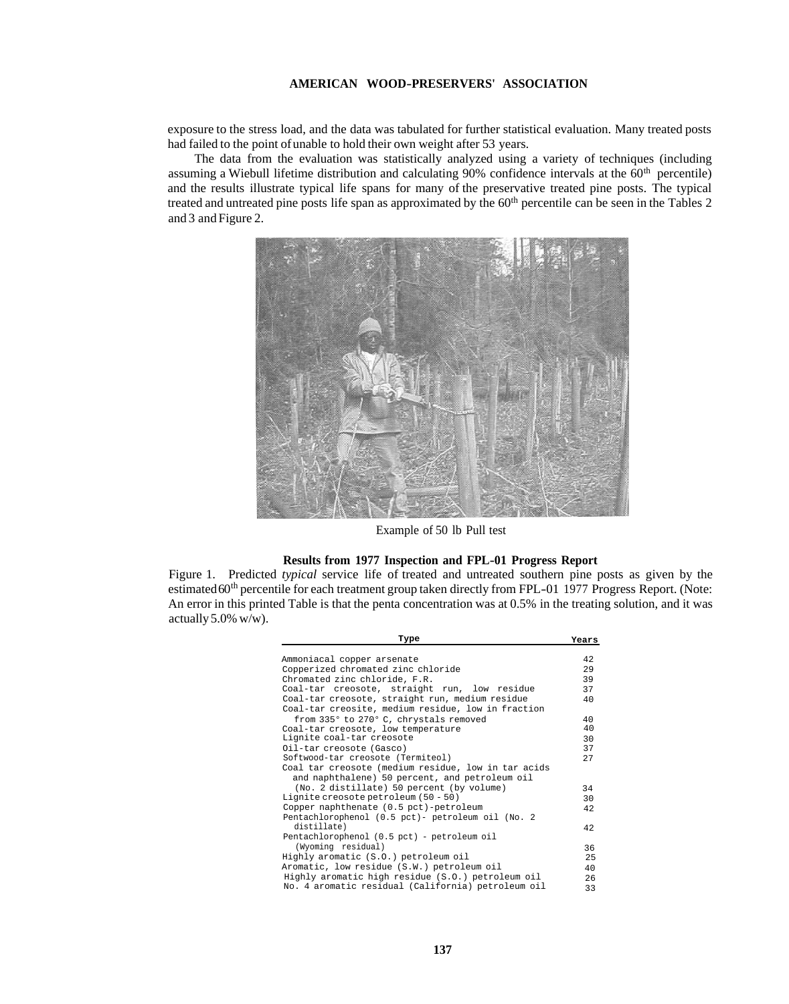#### **AMERICAN WOOD-PRESERVERS' ASSOCIATION**

exposure to the stress load, and the data was tabulated for further statistical evaluation. Many treated posts had failed to the point of unable to hold their own weight after 53 years.

The data from the evaluation was statistically analyzed using a variety of techniques (including assuming a Wiebull lifetime distribution and calculating  $90\%$  confidence intervals at the  $60<sup>th</sup>$  percentile) and the results illustrate typical life spans for many of the preservative treated pine posts. The typical treated and untreated pine posts life span as approximated by the 60<sup>th</sup> percentile can be seen in the Tables 2 and 3 and [Figure 2.](#page-6-0) 



Example of 50 lb Pull test

#### **Results from 1977 Inspection and FPL-01 Progress Report**

Figure 1. Predicted *typical* service life of treated and untreated southern pine posts as given by the estimated 60<sup>th</sup> percentile for each treatment group taken directly from FPL-01 1977 Progress Report. (Note: An error in this printed Table is that the penta concentration was at 0.5% in the treating solution, and it was actually 5.0% w/w).

| Type                                                | Years |
|-----------------------------------------------------|-------|
|                                                     |       |
| Ammoniacal copper arsenate                          | 42    |
| Copperized chromated zinc chloride                  | 29    |
| Chromated zinc chloride, F.R.                       | 39    |
| Coal-tar creosote, straight run, low residue        | 37    |
| Coal-tar creosote, straight run, medium residue     | 40    |
| Coal-tar creosite, medium residue, low in fraction  |       |
| from 335° to 270° C, chrystals removed              | 40    |
| Coal-tar creosote, low temperature                  | 40    |
| Lignite coal-tar creosote                           | 30    |
| Oil-tar creosote (Gasco)                            | 37    |
| Softwood-tar creosote (Termiteol)                   | 27    |
| Coal tar creosote (medium residue, low in tar acids |       |
| and naphthalene) 50 percent, and petroleum oil      |       |
| (No. 2 distillate) 50 percent (by volume)           | 34    |
| Lignite creosote petroleum (50 - 50)                | 30    |
| Copper naphthenate (0.5 pct)-petroleum              | 42    |
| Pentachlorophenol (0.5 pct)- petroleum oil (No. 2   |       |
| distillate)                                         | 42    |
| Pentachlorophenol (0.5 pct) - petroleum oil         |       |
| (Wyoming residual)                                  | 36    |
| Highly aromatic (S.O.) petroleum oil                | 25    |
| Aromatic, low residue (S.W.) petroleum oil          | 40    |
| Highly aromatic high residue (S.O.) petroleum oil   | 2.6   |
| No. 4 aromatic residual (California) petroleum oil  | 33    |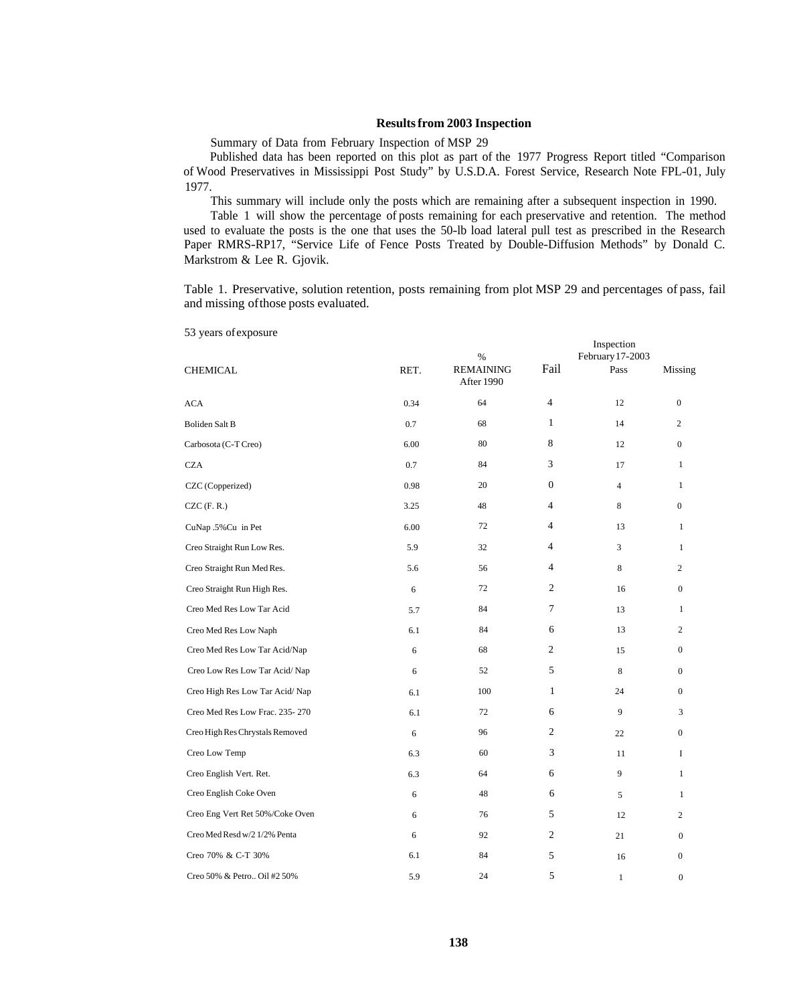#### **Results from 2003 Inspection**

Summary of Data from February Inspection of MSP 29

Published data has been reported on this plot as part of the 1977 Progress Report titled "Comparison of Wood Preservatives in Mississippi Post Study" by U.S.D.A. Forest Service, Research Note FPL-01, July 1977.

This summary will include only the posts which are remaining after a subsequent inspection in 1990.

Table 1 will show the percentage of posts remaining for each preservative and retention. The method used to evaluate the posts is the one that uses the 50-lb load lateral pull test as prescribed in the Research Paper RMRS-RP17, "Service Life of Fence Posts Treated by Double-Diffusion Methods" by Donald C. Markstrom & Lee R. Gjovik.

Table 1. Preservative, solution retention, posts remaining from plot MSP 29 and percentages of pass, fail and missing ofthose posts evaluated.

53 years of exposure

|                                 |      | %                              | Inspection<br>February 17-2003 |                |                  |
|---------------------------------|------|--------------------------------|--------------------------------|----------------|------------------|
| <b>CHEMICAL</b>                 | RET. | <b>REMAINING</b><br>After 1990 | Fail                           | Pass           | Missing          |
| <b>ACA</b>                      | 0.34 | 64                             | 4                              | 12             | $\boldsymbol{0}$ |
| Boliden Salt B                  | 0.7  | 68                             | $\mathbf{1}$                   | 14             | 2                |
| Carbosota (C-T Creo)            | 6.00 | 80                             | 8                              | 12             | $\boldsymbol{0}$ |
| <b>CZA</b>                      | 0.7  | 84                             | 3                              | 17             | $\mathbf{1}$     |
| CZC (Copperized)                | 0.98 | 20                             | $\overline{0}$                 | $\overline{4}$ | 1                |
| $CZC$ (F. R.)                   | 3.25 | 48                             | 4                              | 8              | $\boldsymbol{0}$ |
| CuNap .5% Cu in Pet             | 6.00 | 72                             | 4                              | 13             | $\mathbf{1}$     |
| Creo Straight Run Low Res.      | 5.9  | 32                             | 4                              | 3              | $\mathbf{1}$     |
| Creo Straight Run Med Res.      | 5.6  | 56                             | 4                              | 8              | $\overline{c}$   |
| Creo Straight Run High Res.     | 6    | 72                             | $\overline{c}$                 | 16             | $\boldsymbol{0}$ |
| Creo Med Res Low Tar Acid       | 5.7  | 84                             | $\tau$                         | 13             | $\mathbf{1}$     |
| Creo Med Res Low Naph           | 6.1  | 84                             | 6                              | 13             | $\overline{c}$   |
| Creo Med Res Low Tar Acid/Nap   | 6    | 68                             | 2                              | 15             | $\boldsymbol{0}$ |
| Creo Low Res Low Tar Acid/Nap   | 6    | 52                             | 5                              | 8              | $\mathbf{0}$     |
| Creo High Res Low Tar Acid/Nap  | 6.1  | 100                            | $\mathbf{1}$                   | 24             | $\boldsymbol{0}$ |
| Creo Med Res Low Frac. 235-270  | 6.1  | 72                             | 6                              | 9              | 3                |
| Creo High Res Chrystals Removed | 6    | 96                             | 2                              | 22             | $\boldsymbol{0}$ |
| Creo Low Temp                   | 6.3  | 60                             | 3                              | 11             | I                |
| Creo English Vert. Ret.         | 6.3  | 64                             | 6                              | 9              | $\mathbf{1}$     |
| Creo English Coke Oven          | 6    | 48                             | 6                              | 5              | 1                |
| Creo Eng Vert Ret 50%/Coke Oven | 6    | 76                             | 5                              | 12             | $\boldsymbol{2}$ |
| Creo Med Resd w/2 1/2% Penta    | 6    | 92                             | $\overline{c}$                 | 21             | $\boldsymbol{0}$ |
| Creo 70% & C-T 30%              | 6.1  | 84                             | 5                              | 16             | $\boldsymbol{0}$ |
| Creo 50% & Petro Oil #2 50%     | 5.9  | 24                             | 5                              | $\mathbf{1}$   | $\boldsymbol{0}$ |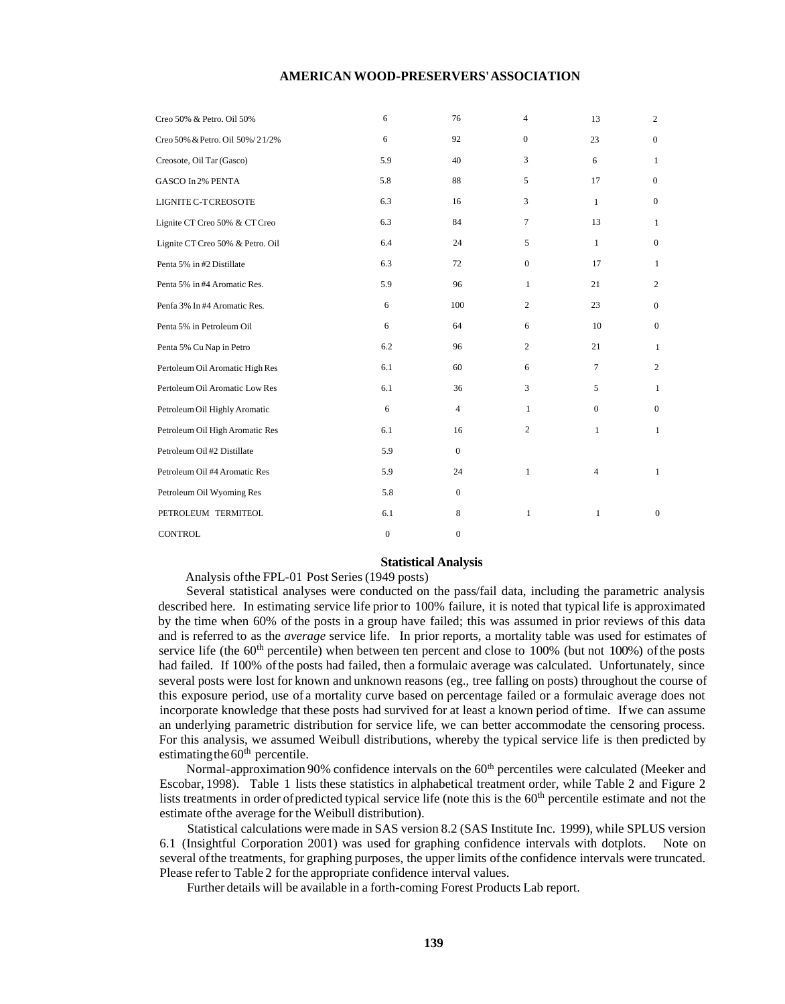#### **AMERICAN WOOD-PRESERVERS' ASSOCIATION**

| Creo 50% & Petro. Oil 50%        | 6                | 76             | 4              | 13             | $\overline{c}$   |
|----------------------------------|------------------|----------------|----------------|----------------|------------------|
| Creo 50% & Petro. Oil 50%/21/2%  | 6                | 92             | $\mathbf{0}$   | 23             | $\mathbf{0}$     |
| Creosote, Oil Tar (Gasco)        | 5.9              | 40             | 3              | 6              | 1                |
| <b>GASCO In 2% PENTA</b>         | 5.8              | 88             | 5              | 17             | $\boldsymbol{0}$ |
| LIGNITE C-T CREOSOTE             | 6.3              | 16             | 3              | $\mathbf{1}$   | $\mathbf{0}$     |
| Lignite CT Creo 50% & CT Creo    | 6.3              | 84             | 7              | 13             | 1                |
| Lignite CT Creo 50% & Petro. Oil | 6.4              | 24             | 5              | $\mathbf{1}$   | $\mathbf{0}$     |
| Penta 5% in #2 Distillate        | 6.3              | 72             | $\mathbf{0}$   | 17             | 1                |
| Penta 5% in #4 Aromatic Res.     | 5.9              | 96             | 1              | 21             | 2                |
| Penfa 3% In #4 Aromatic Res.     | 6                | 100            | $\overline{c}$ | 23             | $\theta$         |
| Penta 5% in Petroleum Oil        | 6                | 64             | 6              | 10             | $\mathbf{0}$     |
| Penta 5% Cu Nap in Petro         | 6.2              | 96             | 2              | 21             | $\mathbf{1}$     |
| Pertoleum Oil Aromatic High Res  | 6.1              | 60             | 6              | $\tau$         | $\mathbf{2}$     |
| Pertoleum Oil Aromatic Low Res   | 6.1              | 36             | 3              | 5              | $\mathbf{1}$     |
| Petroleum Oil Highly Aromatic    | 6                | $\overline{4}$ | 1              | $\mathbf{0}$   | $\mathbf{0}$     |
| Petroleum Oil High Aromatic Res  | 6.1              | 16             | $\overline{2}$ | 1              | 1                |
| Petroleum Oil#2 Distillate       | 5.9              | $\overline{0}$ |                |                |                  |
| Petroleum Oil #4 Aromatic Res    | 5.9              | 24             | $\mathbf{1}$   | $\overline{4}$ | $\mathbf{1}$     |
| Petroleum Oil Wyoming Res        | 5.8              | $\overline{0}$ |                |                |                  |
| PETROLEUM TERMITEOL              | 6.1              | 8              | $\mathbf{1}$   | $\mathbf{1}$   | $\mathbf{0}$     |
| <b>CONTROL</b>                   | $\boldsymbol{0}$ | $\mathbf{0}$   |                |                |                  |

#### **Statistical Analysis**

Analysis ofthe FPL-01 Post Series (1949 posts)

Several statistical analyses were conducted on the pass/fail data, including the parametric analysis described here. In estimating service life prior to 100% failure, it is noted that typical life is approximated by the time when 60% of the posts in a group have failed; this was assumed in prior reviews of this data and is referred to as the *average* service life. In prior reports, a mortality table was used for estimates of service life (the  $60<sup>th</sup>$  percentile) when between ten percent and close to 100% (but not 100%) of the posts had failed. If 100% of the posts had failed, then a formulaic average was calculated. Unfortunately, since several posts were lost for known and unknown reasons (eg., tree falling on posts) throughout the course of this exposure period, use of a mortality curve based on percentage failed or a formulaic average does not incorporate knowledge that these posts had survived for at least a known period of time. If we can assume an underlying parametric distribution for service life, we can better accommodate the censoring process. For this analysis, we assumed Weibull distributions, whereby the typical service life is then predicted by estimating the  $60<sup>th</sup>$  percentile.

Normal-approximation 90% confidence intervals on the  $60<sup>th</sup>$  percentiles were calculated (Meeker and Escobar, 1998). Table 1 lists these statistics in alphabetical treatment order, while [Table 2](#page-4-0) and [Figure 2](#page-6-0) lists treatments in order of predicted typical service life (note this is the 60<sup>th</sup> percentile estimate and not the estimate ofthe average for the Weibull distribution).

Statistical calculations were made in SAS version 8.2 (SAS Institute Inc. 1999), while SPLUS version 6.1 (Insightful Corporation 2001) was used for graphing confidence intervals with dotplots. Note on several of the treatments, for graphing purposes, the upper limits of the confidence intervals were truncated. Please refer to [Table 2](#page-4-0) for the appropriate confidence interval values.

Further details will be available in a forth-coming Forest Products Lab report.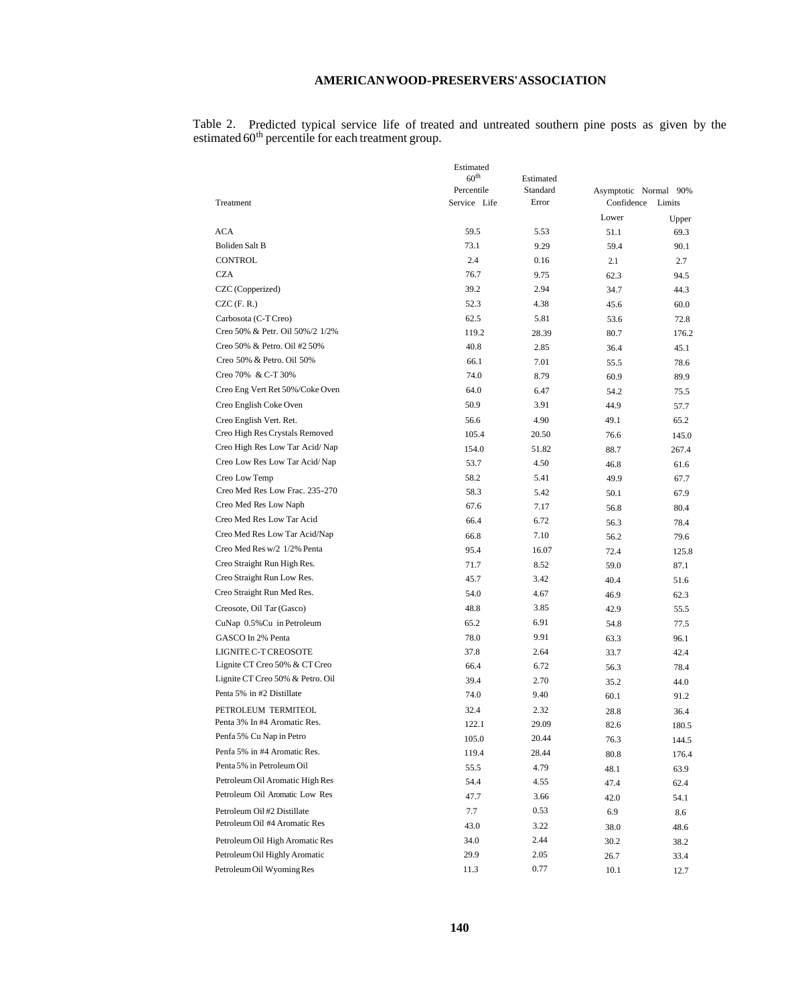#### **AMERICANWOOD-PRESERVERS'ASSOCIATION**

<span id="page-4-0"></span>Table 2. Predicted typical service life of treated and untreated southern pine posts as given by the estimated 60<sup>th</sup> percentile for each treatment group.

|                                                             | Estimated        |           |                       |        |
|-------------------------------------------------------------|------------------|-----------|-----------------------|--------|
|                                                             | 60 <sup>th</sup> | Estimated |                       |        |
|                                                             | Percentile       | Standard  | Asymptotic Normal 90% |        |
| Treatment                                                   | Service Life     | Error     | Confidence            | Limits |
|                                                             |                  |           | Lower                 | Upper  |
| <b>ACA</b>                                                  | 59.5             | 5.53      | 51.1                  | 69.3   |
| <b>Boliden Salt B</b>                                       | 73.1             | 9.29      | 59.4                  | 90.1   |
| <b>CONTROL</b>                                              | 2.4              | 0.16      | 2.1                   | 2.7    |
| <b>CZA</b>                                                  | 76.7             | 9.75      | 62.3                  | 94.5   |
| CZC (Copperized)                                            | 39.2             | 2.94      | 34.7                  | 44.3   |
| $CZC$ (F. R.)                                               | 52.3             | 4.38      | 45.6                  | 60.0   |
| Carbosota (C-T Creo)                                        | 62.5             | 5.81      | 53.6                  | 72.8   |
| Creo 50% & Petr. Oil 50%/2 1/2%                             | 119.2            | 28.39     | 80.7                  | 176.2  |
| Creo 50% & Petro. Oil #2 50%                                | 40.8             | 2.85      | 36.4                  | 45.1   |
| Creo 50% & Petro. Oil 50%                                   | 66.1             | 7.01      | 55.5                  | 78.6   |
| Creo 70% & C-T 30%                                          | 74.0             | 8.79      | 60.9                  | 89.9   |
| Creo Eng Vert Ret 50%/Coke Oven                             | 64.0             | 6.47      | 54.2                  | 75.5   |
| Creo English Coke Oven                                      | 50.9             | 3.91      | 44.9                  | 57.7   |
| Creo English Vert. Ret.                                     | 56.6             | 4.90      | 49.1                  | 65.2   |
| Creo High Res Crystals Removed                              | 105.4            | 20.50     | 76.6                  | 145.0  |
| Creo High Res Low Tar Acid/Nap                              | 154.0            | 51.82     | 88.7                  | 267.4  |
| Creo Low Res Low Tar Acid/Nap                               | 53.7             | 4.50      | 46.8                  | 61.6   |
| Creo Low Temp                                               | 58.2             | 5.41      | 49.9                  | 67.7   |
| Creo Med Res Low Frac. 235-270                              | 58.3             | 5.42      | 50.1                  | 67.9   |
| Creo Med Res Low Naph                                       | 67.6             | 7.17      | 56.8                  | 80.4   |
| Creo Med Res Low Tar Acid                                   | 66.4             | 6.72      | 56.3                  | 78.4   |
| Creo Med Res Low Tar Acid/Nap                               | 66.8             | 7.10      | 56.2                  | 79.6   |
| Creo Med Res w/2 1/2% Penta                                 | 95.4             | 16.07     | 72.4                  | 125.8  |
| Creo Straight Run High Res.                                 | 71.7             | 8.52      | 59.0                  | 87.1   |
| Creo Straight Run Low Res.                                  | 45.7             | 3.42      | 40.4                  | 51.6   |
| Creo Straight Run Med Res.                                  | 54.0             | 4.67      | 46.9                  | 62.3   |
| Creosote, Oil Tar (Gasco)                                   | 48.8             | 3.85      | 42.9                  | 55.5   |
| CuNap 0.5% Cu in Petroleum                                  | 65.2             | 6.91      | 54.8                  | 77.5   |
| GASCO In 2% Penta                                           | 78.0             | 9.91      | 63.3                  | 96.1   |
| LIGNITE C-T CREOSOTE                                        | 37.8             | 2.64      | 33.7                  | 42.4   |
| Lignite CT Creo 50% & CT Creo                               | 66.4             | 6.72      | 56.3                  | 78.4   |
| Lignite CT Creo 50% & Petro. Oil                            | 39.4             | 2.70      | 35.2                  | 44.0   |
| Penta 5% in #2 Distillate                                   | 74.0             | 9.40      | 60.1                  | 91.2   |
| PETROLEUM TERMITEOL                                         | 32.4             | 2.32      |                       | 36.4   |
| Penta 3% In #4 Aromatic Res.                                | 122.1            | 29.09     | 28.8<br>82.6          | 180.5  |
| Penfa 5% Cu Nap in Petro                                    | 105.0            | 20.44     | 76.3                  |        |
| Penfa 5% in #4 Aromatic Res.                                | 119.4            | 28.44     |                       | 144.5  |
| Penta 5% in Petroleum Oil                                   | 55.5             | 4.79      | 80.8                  | 176.4  |
| Petroleum Oil Aromatic High Res                             | 54.4             |           | 48.1                  | 63.9   |
| Petroleum Oil Aromatic Low Res                              |                  | 4.55      | 47.4                  | 62.4   |
|                                                             | 47.7             | 3.66      | 42.0                  | 54.1   |
| Petroleum Oil#2 Distillate<br>Petroleum Oil #4 Aromatic Res | 7.7              | 0.53      | 6.9                   | 8.6    |
|                                                             | 43.0             | 3.22      | 38.0                  | 48.6   |
| Petroleum Oil High Aromatic Res                             | 34.0             | 2.44      | 30.2                  | 38.2   |
| Petroleum Oil Highly Aromatic                               | 29.9             | 2.05      | 26.7                  | 33.4   |
| Petroleum Oil Wyoming Res                                   | 11.3             | 0.77      | 10.1                  | 12.7   |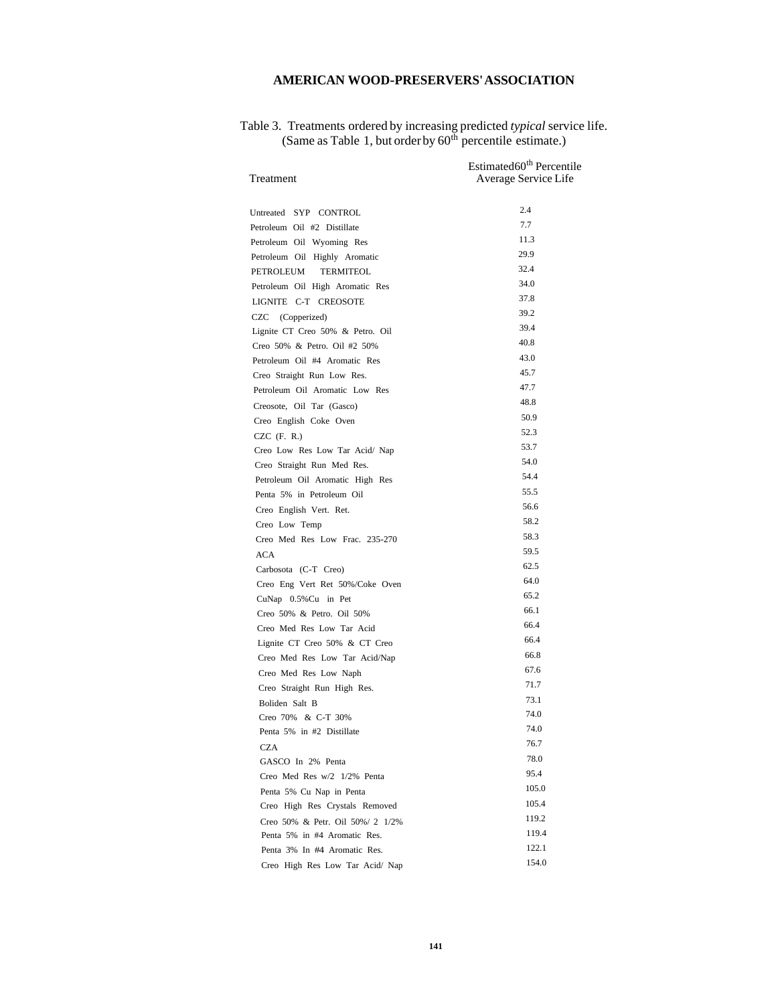## **AMERICAN WOOD-PRESERVERS' ASSOCIATION**

| Treatment                            | Estimated60 <sup>th</sup> Percentile<br>Average Service Life |
|--------------------------------------|--------------------------------------------------------------|
| Untreated SYP CONTROL                | 2.4                                                          |
| Petroleum Oil #2 Distillate          | 7.7                                                          |
| Petroleum Oil Wyoming Res            | 11.3                                                         |
| Petroleum Oil Highly Aromatic        | 29.9                                                         |
| <b>PETROLEUM</b><br><b>TERMITEOL</b> | 32.4                                                         |
| Petroleum Oil High Aromatic Res      | 34.0                                                         |
| LIGNITE C-T CREOSOTE                 | 37.8                                                         |
| CZC<br>(Copperized)                  | 39.2                                                         |
| Lignite CT Creo 50% & Petro. Oil     | 39.4                                                         |
| Creo 50% & Petro. Oil #2 50%         | 40.8                                                         |
| Petroleum Oil #4 Aromatic Res        | 43.0                                                         |
| Creo Straight Run Low Res.           | 45.7                                                         |
| Petroleum Oil Aromatic Low Res       | 47.7                                                         |
| Creosote, Oil Tar (Gasco)            | 48.8                                                         |
| Creo English Coke Oven               | 50.9                                                         |
| $CZC$ (F. R.)                        | 52.3                                                         |
| Creo Low Res Low Tar Acid/ Nap       | 53.7                                                         |
| Creo Straight Run Med Res.           | 54.0                                                         |
| Petroleum Oil Aromatic High Res      | 54.4                                                         |
| Penta 5% in Petroleum Oil            | 55.5                                                         |
| Creo English Vert. Ret.              | 56.6                                                         |
| Creo Low Temp                        | 58.2                                                         |
| Creo Med Res Low Frac. 235-270       | 58.3                                                         |
| ACA                                  | 59.5                                                         |
| Carbosota (C-T Creo)                 | 62.5                                                         |
| Creo Eng Vert Ret 50%/Coke Oven      | 64.0                                                         |
| CuNap 0.5% Cu in Pet                 | 65.2                                                         |
| Creo 50% & Petro. Oil 50%            | 66.1                                                         |
| Creo Med Res Low Tar Acid            | 66.4                                                         |
| Lignite CT Creo 50% & CT Creo        | 66.4                                                         |
| Creo Med Res Low Tar Acid/Nap        | 66.8                                                         |
| Creo Med Res Low Naph                | 67.6                                                         |
| Creo Straight Run High Res.          | 71.7                                                         |
| Boliden Salt B                       | 73.1                                                         |
| Creo 70% & C-T 30%                   | 74.0                                                         |
| Penta 5% in #2 Distillate            | 74.0                                                         |
| CZA                                  | 76.7                                                         |
| GASCO In 2% Penta                    | 78.0                                                         |
| Creo Med Res w/2 1/2% Penta          | 95.4                                                         |
| Penta 5% Cu Nap in Penta             | 105.0                                                        |
| Creo High Res Crystals Removed       | 105.4                                                        |
| Creo 50% & Petr. Oil 50%/ 2 1/2%     | 119.2                                                        |
| Penta 5% in #4 Aromatic Res.         | 119.4                                                        |
| Penta 3% In #4 Aromatic Res.         | 122.1                                                        |
| Creo High Res Low Tar Acid/ Nap      | 154.0                                                        |

#### Table 3. Treatments ordered by increasing predicted *typical* service life. (Same as Table 1, but order by  $60<sup>th</sup>$  percentile estimate.)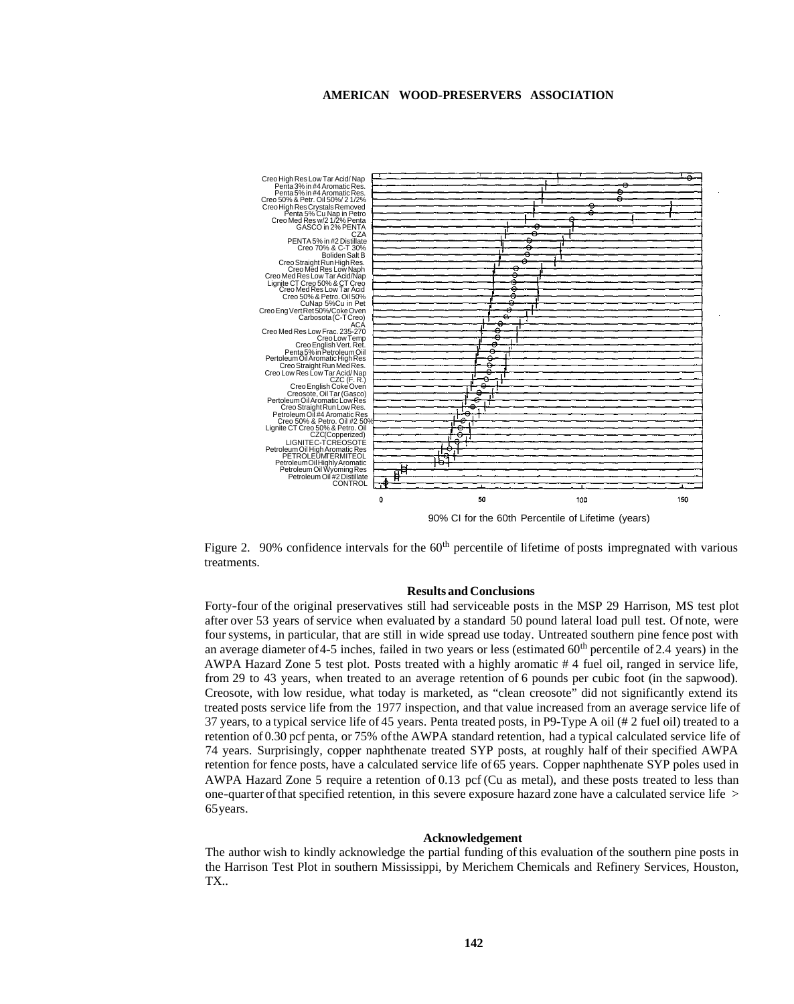#### **AMERICAN WOOD-PRESERVERS ASSOCIATION**

<span id="page-6-0"></span>

90% CI for the 60th Percentile of Lifetime (years)

Figure 2. 90% confidence intervals for the 60<sup>th</sup> percentile of lifetime of posts impregnated with various treatments.

#### **Results and Conclusions**

Forty-four of the original preservatives still had serviceable posts in the MSP 29 Harrison, MS test plot after over 53 years of service when evaluated by a standard 50 pound lateral load pull test. Of note, were four systems, in particular, that are still in wide spread use today. Untreated southern pine fence post with an average diameter of 4-5 inches, failed in two years or less (estimated  $60<sup>th</sup>$  percentile of 2.4 years) in the AWPA Hazard Zone 5 test plot. Posts treated with a highly aromatic # 4 fuel oil, ranged in service life, from 29 to 43 years, when treated to an average retention of 6 pounds per cubic foot (in the sapwood). Creosote, with low residue, what today is marketed, as "clean creosote" did not significantly extend its treated posts service life from the 1977 inspection, and that value increased from an average service life of 37 years, to a typical service life of 45 years. Penta treated posts, in P9-Type A oil (# 2 fuel oil) treated to a retention of 0.30 pcf penta, or 75% of the AWPA standard retention, had a typical calculated service life of 74 years. Surprisingly, copper naphthenate treated SYP posts, at roughly half of their specified AWPA retention for fence posts, have a calculated service life of 65 years. Copper naphthenate SYP poles used in AWPA Hazard Zone 5 require a retention of 0.13 pcf (Cu as metal), and these posts treated to less than one-quarter of that specified retention, in this severe exposure hazard zone have a calculated service life > 65years.

#### **Acknowledgement**

The author wish to kindly acknowledge the partial funding of this evaluation of the southern pine posts in the Harrison Test Plot in southern Mississippi, by Merichem Chemicals and Refinery Services, Houston, TX..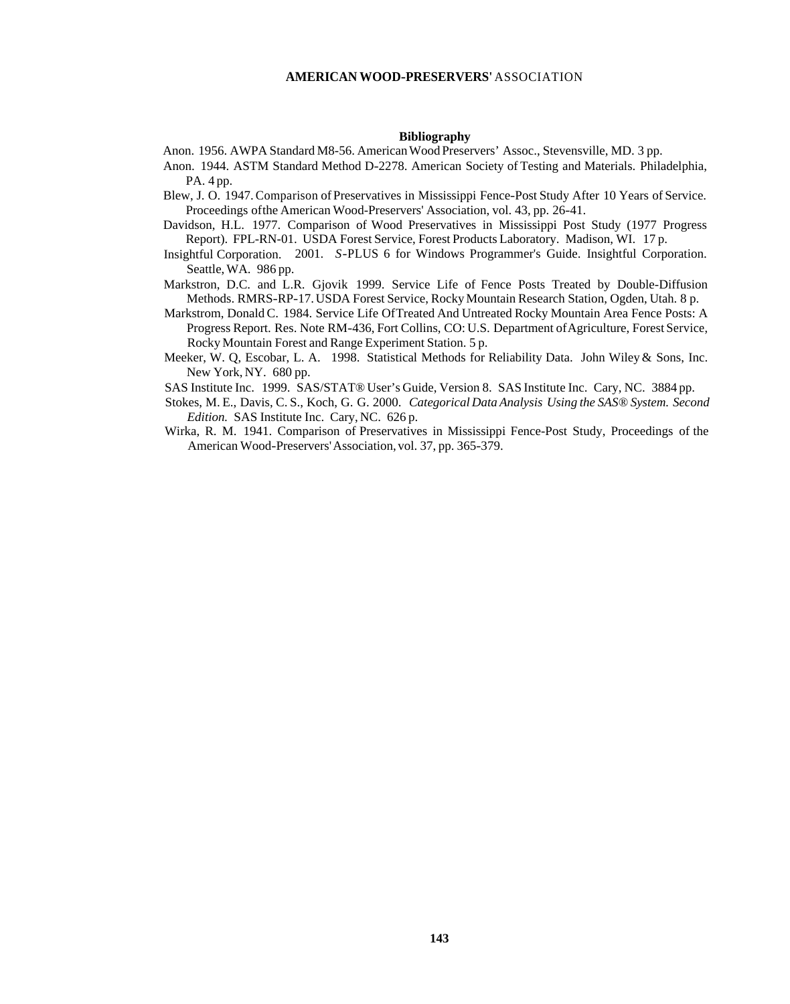#### **Bibliography**

Anon. 1956. AWPA Standard M8-56. American Wood Preservers' Assoc., Stevensville, MD. 3 pp.

- Anon. 1944. ASTM Standard Method D-2278. American Society of Testing and Materials. Philadelphia, PA. 4 pp.
- Blew, J. O. 1947. Comparison of Preservatives in Mississippi Fence-Post Study After 10 Years of Service. Proceedings ofthe American Wood-Preservers' Association, vol. 43, pp. 26-41.
- Davidson, H.L. 1977. Comparison of Wood Preservatives in Mississippi Post Study (1977 Progress Report). FPL-RN-01. USDA Forest Service, Forest Products Laboratory. Madison, WI. 17 p.
- Insightful Corporation. 2001. *S*-PLUS 6 for Windows Programmer's Guide. Insightful Corporation. Seattle, WA. 986 pp.
- Markstron, D.C. and L.R. Gjovik 1999. Service Life of Fence Posts Treated by Double-Diffusion Methods. RMRS-RP-17. USDA Forest Service, Rocky Mountain Research Station, Ogden, Utah. 8 p.
- Markstrom, Donald C. 1984. Service Life OfTreated And Untreated Rocky Mountain Area Fence Posts: A Progress Report. Res. Note RM-436, Fort Collins, CO: U.S. Department of Agriculture, Forest Service, Rocky Mountain Forest and Range Experiment Station. 5 p.
- Meeker, W. Q, Escobar, L. A. 1998. Statistical Methods for Reliability Data. John Wiley & Sons, Inc. New York, NY. 680 pp.

SAS Institute Inc. 1999. SAS/STAT® User's Guide, Version 8. SAS Institute Inc. Cary, NC. 3884 pp.

- Stokes, M. E., Davis, C. S., Koch, G. G. 2000. *Categorical Data Analysis Using the SAS® System. Second Edition.* SAS Institute Inc. Cary, NC. 626 p.
- Wirka, R. M. 1941. Comparison of Preservatives in Mississippi Fence-Post Study, Proceedings of the American Wood-Preservers' Association, vol. 37, pp. 365-379.